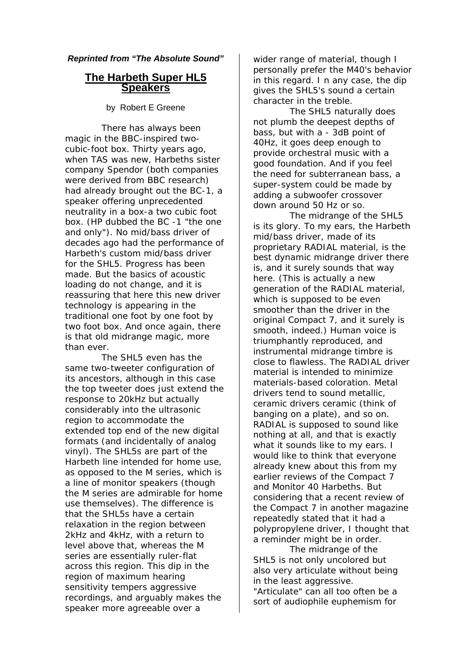## *Reprinted from "The Absolute Sound"*

## **The Harbeth Super HL5 Speakers**

byRobert E Greene

There has always been magic in the BBC-inspired twocubic-foot box. Thirty years ago, when TAS was new, Harbeths sister company Spendor (both companies were derived from BBC research) had already brought out the BC-1, a speaker offering unprecedented neutrality in a box-a two cubic foot box. (HP dubbed the BC -1 "the one and only"). No mid/bass driver of decades ago had the performance of Harbeth's custom mid/bass driver for the SHL5. Progress has been made. But the basics of acoustic loading do not change, and it is reassuring that here this new driver technology is appearing in the traditional one foot by one foot by two foot box. And once again, there is that old midrange magic, more than ever.

The SHL5 even has the same two-tweeter configuration of its ancestors, although in this case the top tweeter does just extend the response to 20kHz but actually considerably into the ultrasonic region to accommodate the extended top end of the new digital formats (and incidentally of analog vinyl). The SHL5s are part of the Harbeth line intended for home use, as opposed to the M series, which is a line of monitor speakers (though the M series are admirable for home use themselves). The difference is that the SHL5s have a certain relaxation in the region between 2kHz and 4kHz, with a return to level above that, whereas the M series are essentially ruler-flat across this region. This dip in the region of maximum hearing sensitivity tempers aggressive recordings, and arguably makes the speaker more agreeable over a

wider range of material, though I personally prefer the M40's behavior in this regard. I n any case, the dip gives the SHL5's sound a certain character in the treble.

The SHL5 naturally does not plumb the deepest depths of bass, but with a - 3dB point of 40Hz, it goes deep enough to provide orchestral music with a good foundation. And if you feel the need for subterranean bass, a super-system could be made by adding a subwoofer crossover down around 50 Hz or so.

The midrange of the SHL5 is its glory. To my ears, the Harbeth mid/bass driver, made of its proprietary RADIAL material, is the best dynamic midrange driver there is, and it surely sounds that way here. (This is actually a new generation of the RADIAL material, which is supposed to be even smoother than the driver in the original Compact 7, and it surely is smooth, indeed.) Human voice is triumphantly reproduced, and instrumental midrange timbre is close to flawless. The RADIAL driver material is intended to minimize materials-based coloration. Metal drivers tend to sound metallic, ceramic drivers ceramic (think of banging on a plate), and so on. RADIAL is supposed to sound like nothing at all, and that is exactly what it sounds like to my ears. I would like to think that everyone already knew about this from my earlier reviews of the Compact 7 and Monitor 40 Harbeths. But considering that a recent review of the Compact 7 in another magazine repeatedly stated that it had a polypropylene driver, I thought that a reminder might be in order.

The midrange of the SHL5 is not only uncolored but also very articulate without being in the least aggressive. "Articulate" can all too often be a sort of audiophile euphemism for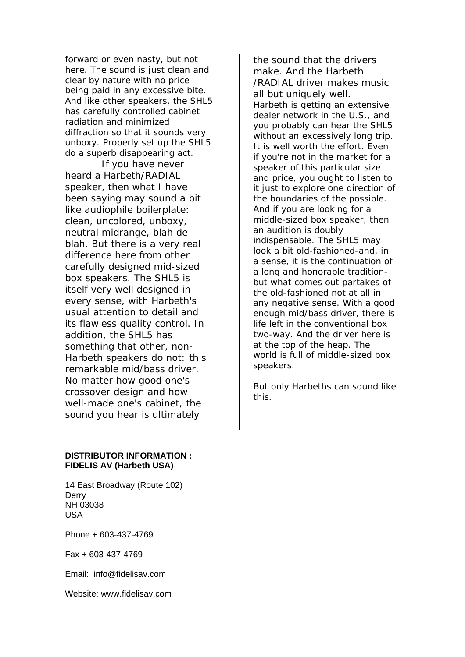forward or even nasty, but not here. The sound is just clean and clear by nature with no price being paid in any excessive bite. And like other speakers, the SHL5 has carefully controlled cabinet radiation and minimized diffraction so that it sounds very unboxy. Properly set up the SHL5 do a superb disappearing act.

If you have never heard a Harbeth/RADIAL speaker, then what I have been saying may sound a bit like audiophile boilerplate: clean, uncolored, unboxy, neutral midrange, blah de blah. But there is a very real difference here from other carefully designed mid-sized box speakers. The SHL5 is itself very well designed in every sense, with Harbeth's usual attention to detail and its flawless quality control. In addition, the SHL5 has something that other, non-Harbeth speakers do not: this remarkable mid/bass driver. No matter how good one's crossover design and how well-made one's cabinet, the sound you hear is ultimately

the sound that the drivers make. And the Harbeth /RADIAL driver makes music all but uniquely well. Harbeth is getting an extensive dealer network in the U.S., and you probably can hear the SHL5 without an excessively long trip. It is well worth the effort. Even if you're not in the market for a speaker of this particular size and price, you ought to listen to it just to explore one direction of the boundaries of the possible. And if you are looking for a middle-sized box speaker, then an audition is doubly indispensable. The SHL5 may look a bit old-fashioned-and, in a sense, it is the continuation of a long and honorable traditionbut what comes out partakes of the old-fashioned not at all in any negative sense. With a good enough mid/bass driver, there is life left in the conventional box two-way. And the driver here is at the top of the heap. The world is full of middle-sized box speakers.

But only Harbeths can sound like this.

## **DISTRIBUTOR INFORMATION : FIDELIS AV (Harbeth USA)**

14 East Broadway (Route 102) **Derry** NH 03038 USA

Phone + 603-437-4769

Fax + 603-437-4769

Email: info@fidelisav.com

Website: www.fidelisav.com